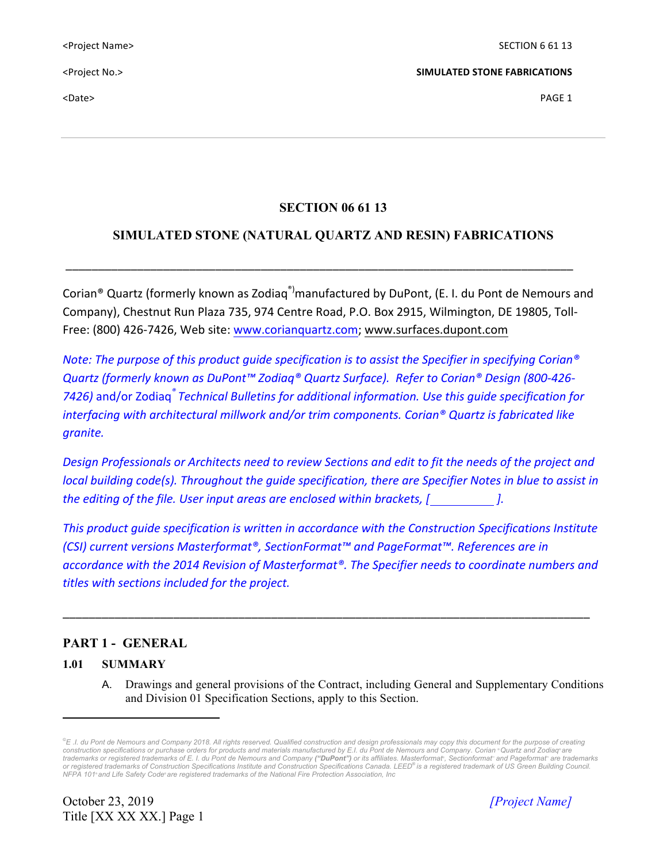$\blacktriangle$  PAGE 1  $\blacktriangleright$ 

# **SECTION 06 61 13**

# **SIMULATED STONE (NATURAL QUARTZ AND RESIN) FABRICATIONS**

Corian<sup>®</sup> Quartz (formerly known as Zodiag<sup>®)</sup>manufactured by DuPont, (E. I. du Pont de Nemours and Company), Chestnut Run Plaza 735, 974 Centre Road, P.O. Box 2915, Wilmington, DE 19805, Toll-Free: (800) 426-7426, Web site: www.corianquartz.com; www.surfaces.dupont.com

\_\_\_\_\_\_\_\_\_\_\_\_\_\_\_\_\_\_\_\_\_\_\_\_\_\_\_\_\_\_\_\_\_\_\_\_\_\_\_\_\_\_\_\_\_\_\_\_\_\_\_\_\_\_\_\_\_\_\_\_\_\_\_\_\_\_\_\_\_\_\_\_\_\_\_\_\_\_

*Note:* The purpose of this product guide specification is to assist the Specifier in specifying Corian<sup>®</sup> *Quartz (formerly known as DuPont™ Zodiaq® Quartz Surface). Refer to Corian® Design (800-426- 7426)* and/or Zodiaq*® Technical Bulletins for additional information. Use this guide specification for interfacing* with architectural millwork and/or trim components. Corian<sup>®</sup> Quartz is fabricated like *granite.*

*Design Professionals* or Architects need to review Sections and edit to fit the needs of the project and *local building code(s). Throughout the quide specification, there are Specifier Notes in blue to assist in the editing of the file. User input areas are enclosed within brackets, [*  $\qquad \qquad$  ].

This product quide specification is written in accordance with the Construction Specifications Institute *(CSI)* current versions Masterformat®, SectionFormat™ and PageFormat™. References are in *accordance with the 2014 Revision of Masterformat<sup>®</sup>. The Specifier needs to coordinate numbers and titles with sections included for the project.*

\_\_\_\_\_\_\_\_\_\_\_\_\_\_\_\_\_\_\_\_\_\_\_\_\_\_\_\_\_\_\_\_\_\_\_\_\_\_\_\_\_\_\_\_\_\_\_\_\_\_\_\_\_\_\_\_\_\_\_\_\_\_\_\_\_\_\_\_\_\_\_\_\_\_\_\_\_\_\_\_\_

# **PART 1 - GENERAL**

#### **1.01 SUMMARY**

A. Drawings and general provisions of the Contract, including General and Supplementary Conditions and Division 01 Specification Sections, apply to this Section.

October 23, 2019 *[Project Name]* Title [XX XX XX.] Page 1

 

*<sup>©</sup> E .I. du Pont de Nemours and Company 2018. All rights reserved. Qualified construction and design professionals may copy this document for the purpose of creating construction specifications or purchase orders for products and materials manufactured by E.I. du Pont de Nemours and Company. Corian ®Quartz and Zodiaq® are*  trademarks or registered trademarks of E. I. du Pont de Nemours and Company ("**DuPont**") or its affiliates. Masterformat<sup>®</sup>, Sectionformat™ and Pageformat™ are trademarks *or registered trademarks of Construction Specifications Institute and Construction Specifications Canada. LEED® is a registered trademark of US Green Building Council. NFPA 101® and Life Safety Code® are registered trademarks of the National Fire Protection Association, Inc*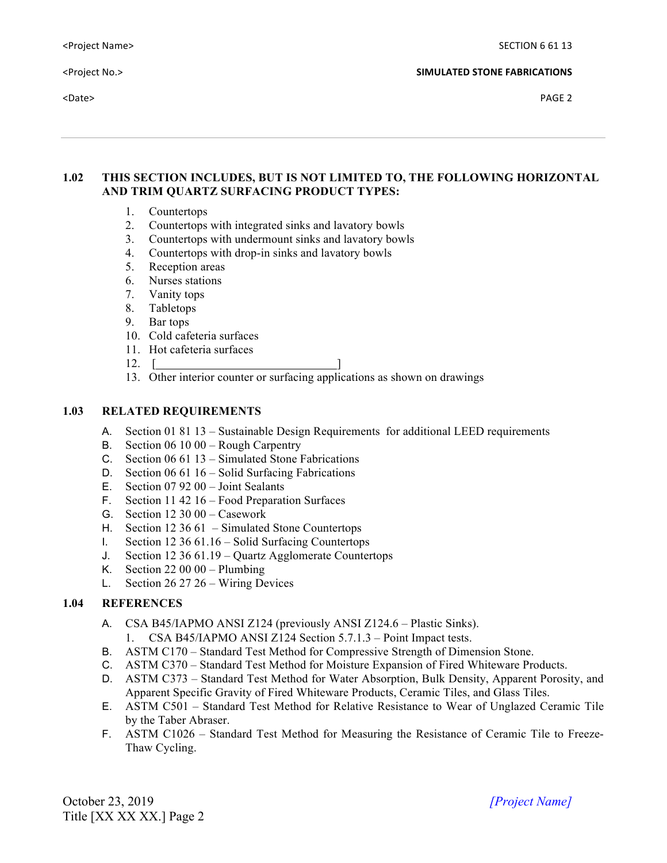$\blacktriangle$  PAGE 2  $\blacktriangleright$ 

**SIMULATED STONE FABRICATIONS** 

## **1.02 THIS SECTION INCLUDES, BUT IS NOT LIMITED TO, THE FOLLOWING HORIZONTAL AND TRIM QUARTZ SURFACING PRODUCT TYPES:**

- 1. Countertops
- 2. Countertops with integrated sinks and lavatory bowls
- 3. Countertops with undermount sinks and lavatory bowls
- 4. Countertops with drop-in sinks and lavatory bowls
- 5. Reception areas
- 6. Nurses stations
- 7. Vanity tops
- 8. Tabletops
- 9. Bar tops
- 10. Cold cafeteria surfaces
- 11. Hot cafeteria surfaces
- $12. \quad [$
- 
- 13. Other interior counter or surfacing applications as shown on drawings

#### **1.03 RELATED REQUIREMENTS**

- A. Section 01 81 13 Sustainable Design Requirements for additional LEED requirements
- B. Section 06 10 00 Rough Carpentry<br>C. Section 06 61 13 Simulated Stone I
- Section 06 61 13 Simulated Stone Fabrications
- D. Section 06 61 16 Solid Surfacing Fabrications
- E. Section 07 92 00 Joint Sealants
- F. Section 11 42 16 Food Preparation Surfaces
- G. Section 12 30 00 Casework
- H. Section 12 36 61 Simulated Stone Countertops
- I. Section 12 36 61.16 Solid Surfacing Countertops
- J. Section 12 36 61.19 Quartz Agglomerate Countertops
- K. Section 22 00 00 Plumbing
- L. Section 26 27 26 Wiring Devices

#### **1.04 REFERENCES**

- A. CSA B45/IAPMO ANSI Z124 (previously ANSI Z124.6 Plastic Sinks).
	- 1. CSA B45/IAPMO ANSI Z124 Section 5.7.1.3 Point Impact tests.
- B. ASTM C170 Standard Test Method for Compressive Strength of Dimension Stone.
- C. ASTM C370 Standard Test Method for Moisture Expansion of Fired Whiteware Products.
- D. ASTM C373 Standard Test Method for Water Absorption, Bulk Density, Apparent Porosity, and Apparent Specific Gravity of Fired Whiteware Products, Ceramic Tiles, and Glass Tiles.
- E. ASTM C501 Standard Test Method for Relative Resistance to Wear of Unglazed Ceramic Tile by the Taber Abraser.
- F. ASTM C1026 Standard Test Method for Measuring the Resistance of Ceramic Tile to Freeze-Thaw Cycling.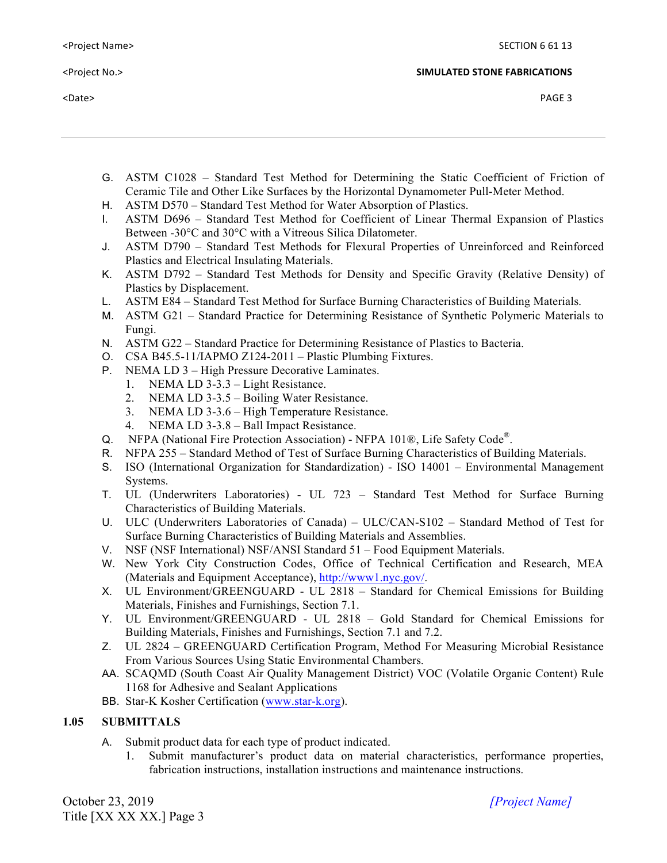- G. ASTM C1028 Standard Test Method for Determining the Static Coefficient of Friction of Ceramic Tile and Other Like Surfaces by the Horizontal Dynamometer Pull-Meter Method.
- H. ASTM D570 Standard Test Method for Water Absorption of Plastics.
- I. ASTM D696 Standard Test Method for Coefficient of Linear Thermal Expansion of Plastics Between -30°C and 30°C with a Vitreous Silica Dilatometer.
- J. ASTM D790 Standard Test Methods for Flexural Properties of Unreinforced and Reinforced Plastics and Electrical Insulating Materials.
- K. ASTM D792 Standard Test Methods for Density and Specific Gravity (Relative Density) of Plastics by Displacement.
- L. ASTM E84 Standard Test Method for Surface Burning Characteristics of Building Materials.
- M. ASTM G21 Standard Practice for Determining Resistance of Synthetic Polymeric Materials to Fungi.
- N. ASTM G22 Standard Practice for Determining Resistance of Plastics to Bacteria.
- O. CSA B45.5-11/IAPMO Z124-2011 Plastic Plumbing Fixtures.
- P. NEMA LD 3 High Pressure Decorative Laminates.
	- 1. NEMA LD 3-3.3 Light Resistance.
	- 2. NEMA LD 3-3.5 Boiling Water Resistance.
	- 3. NEMA LD 3-3.6 High Temperature Resistance.
	- 4. NEMA LD 3-3.8 Ball Impact Resistance.
- Q. NFPA (National Fire Protection Association) NFPA 101®, Life Safety Code®.
- R. NFPA 255 Standard Method of Test of Surface Burning Characteristics of Building Materials.
- S. ISO (International Organization for Standardization) ISO 14001 Environmental Management Systems.
- T. UL (Underwriters Laboratories) UL 723 Standard Test Method for Surface Burning Characteristics of Building Materials.
- U. ULC (Underwriters Laboratories of Canada) ULC/CAN-S102 Standard Method of Test for Surface Burning Characteristics of Building Materials and Assemblies.
- V. NSF (NSF International) NSF/ANSI Standard 51 Food Equipment Materials.
- W. New York City Construction Codes, Office of Technical Certification and Research, MEA (Materials and Equipment Acceptance), http://www1.nyc.gov/.
- X. UL Environment/GREENGUARD UL 2818 Standard for Chemical Emissions for Building Materials, Finishes and Furnishings, Section 7.1.
- Y. UL Environment/GREENGUARD UL 2818 Gold Standard for Chemical Emissions for Building Materials, Finishes and Furnishings, Section 7.1 and 7.2.
- Z. UL 2824 GREENGUARD Certification Program, Method For Measuring Microbial Resistance From Various Sources Using Static Environmental Chambers.
- AA. SCAQMD (South Coast Air Quality Management District) VOC (Volatile Organic Content) Rule 1168 for Adhesive and Sealant Applications
- BB. Star-K Kosher Certification (www.star-k.org).

# **1.05 SUBMITTALS**

- A. Submit product data for each type of product indicated.
	- 1. Submit manufacturer's product data on material characteristics, performance properties, fabrication instructions, installation instructions and maintenance instructions.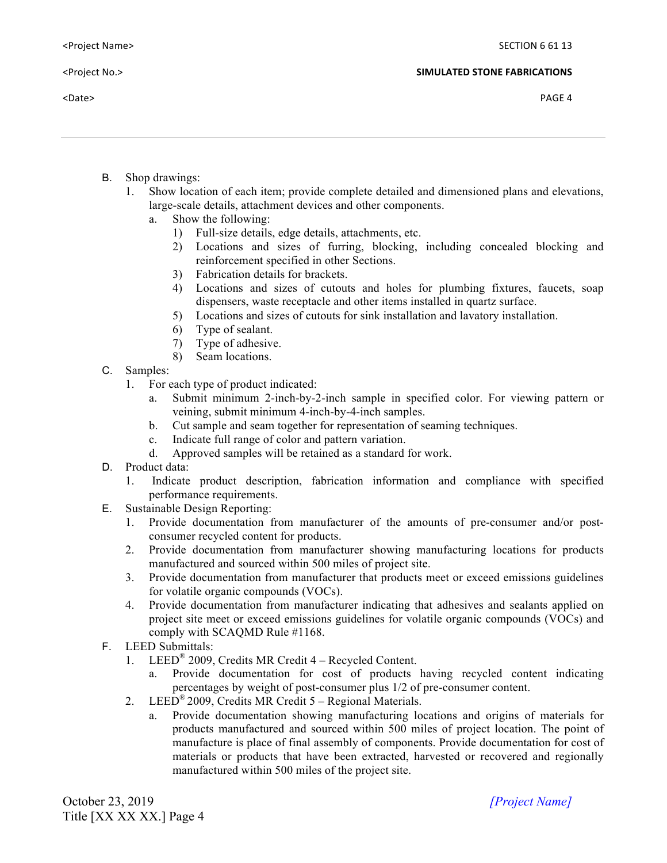- B. Shop drawings:
	- 1. Show location of each item; provide complete detailed and dimensioned plans and elevations, large-scale details, attachment devices and other components.
		- a. Show the following:
			- 1) Full-size details, edge details, attachments, etc.
			- 2) Locations and sizes of furring, blocking, including concealed blocking and reinforcement specified in other Sections.
			- 3) Fabrication details for brackets.
			- 4) Locations and sizes of cutouts and holes for plumbing fixtures, faucets, soap dispensers, waste receptacle and other items installed in quartz surface.
			- 5) Locations and sizes of cutouts for sink installation and lavatory installation.
			- 6) Type of sealant.
			- 7) Type of adhesive.
			- 8) Seam locations.
- C. Samples:
	- 1. For each type of product indicated:
		- a. Submit minimum 2-inch-by-2-inch sample in specified color. For viewing pattern or veining, submit minimum 4-inch-by-4-inch samples.
		- b. Cut sample and seam together for representation of seaming techniques.
		- c. Indicate full range of color and pattern variation.
		- d. Approved samples will be retained as a standard for work.
- D. Product data:
	- 1. Indicate product description, fabrication information and compliance with specified performance requirements.
- E. Sustainable Design Reporting:
	- 1. Provide documentation from manufacturer of the amounts of pre-consumer and/or postconsumer recycled content for products.
	- 2. Provide documentation from manufacturer showing manufacturing locations for products manufactured and sourced within 500 miles of project site.
	- 3. Provide documentation from manufacturer that products meet or exceed emissions guidelines for volatile organic compounds (VOCs).
	- 4. Provide documentation from manufacturer indicating that adhesives and sealants applied on project site meet or exceed emissions guidelines for volatile organic compounds (VOCs) and comply with SCAQMD Rule #1168.
- F. LEED Submittals:
	- 1. LEED® 2009, Credits MR Credit 4 Recycled Content.
		- a. Provide documentation for cost of products having recycled content indicating percentages by weight of post-consumer plus 1/2 of pre-consumer content.
	- 2. LEED® 2009, Credits MR Credit 5 Regional Materials.
		- a. Provide documentation showing manufacturing locations and origins of materials for products manufactured and sourced within 500 miles of project location. The point of manufacture is place of final assembly of components. Provide documentation for cost of materials or products that have been extracted, harvested or recovered and regionally manufactured within 500 miles of the project site.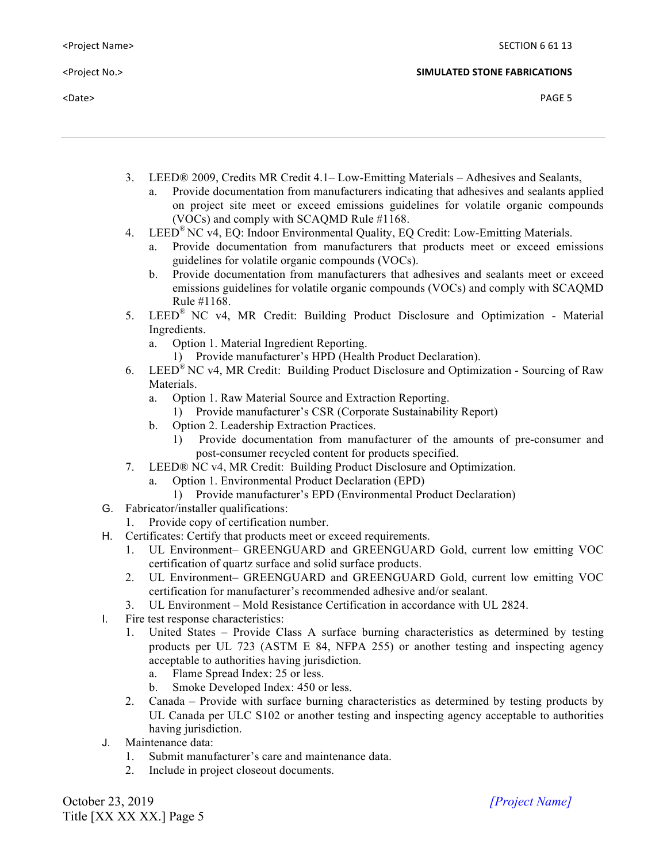- 3. LEED® 2009, Credits MR Credit 4.1– Low-Emitting Materials Adhesives and Sealants,
	- a. Provide documentation from manufacturers indicating that adhesives and sealants applied on project site meet or exceed emissions guidelines for volatile organic compounds (VOCs) and comply with SCAQMD Rule #1168.
- 4. LEED® NC v4, EQ: Indoor Environmental Quality, EQ Credit: Low-Emitting Materials.
	- a. Provide documentation from manufacturers that products meet or exceed emissions guidelines for volatile organic compounds (VOCs).
	- b. Provide documentation from manufacturers that adhesives and sealants meet or exceed emissions guidelines for volatile organic compounds (VOCs) and comply with SCAQMD Rule #1168.
- 5. LEED® NC v4, MR Credit: Building Product Disclosure and Optimization Material Ingredients.
	- a. Option 1. Material Ingredient Reporting.
		- 1) Provide manufacturer's HPD (Health Product Declaration).
- 6. LEED® NC v4, MR Credit: Building Product Disclosure and Optimization Sourcing of Raw Materials.
	- a. Option 1. Raw Material Source and Extraction Reporting.
	- 1) Provide manufacturer's CSR (Corporate Sustainability Report)
	- b. Option 2. Leadership Extraction Practices.
		- 1) Provide documentation from manufacturer of the amounts of pre-consumer and post-consumer recycled content for products specified.
- 7. LEED® NC v4, MR Credit: Building Product Disclosure and Optimization.
	- a. Option 1. Environmental Product Declaration (EPD)
		- 1) Provide manufacturer's EPD (Environmental Product Declaration)
- G. Fabricator/installer qualifications:
	- 1. Provide copy of certification number.
- H. Certificates: Certify that products meet or exceed requirements.
	- 1. UL Environment– GREENGUARD and GREENGUARD Gold, current low emitting VOC certification of quartz surface and solid surface products.
	- 2. UL Environment– GREENGUARD and GREENGUARD Gold, current low emitting VOC certification for manufacturer's recommended adhesive and/or sealant.
	- 3. UL Environment Mold Resistance Certification in accordance with UL 2824.
- I. Fire test response characteristics:
	- 1. United States Provide Class A surface burning characteristics as determined by testing products per UL 723 (ASTM E 84, NFPA 255) or another testing and inspecting agency acceptable to authorities having jurisdiction.
		- a. Flame Spread Index: 25 or less.
		- b. Smoke Developed Index: 450 or less.
	- 2. Canada Provide with surface burning characteristics as determined by testing products by UL Canada per ULC S102 or another testing and inspecting agency acceptable to authorities having jurisdiction.
- J. Maintenance data:
	- 1. Submit manufacturer's care and maintenance data.
	- 2. Include in project closeout documents.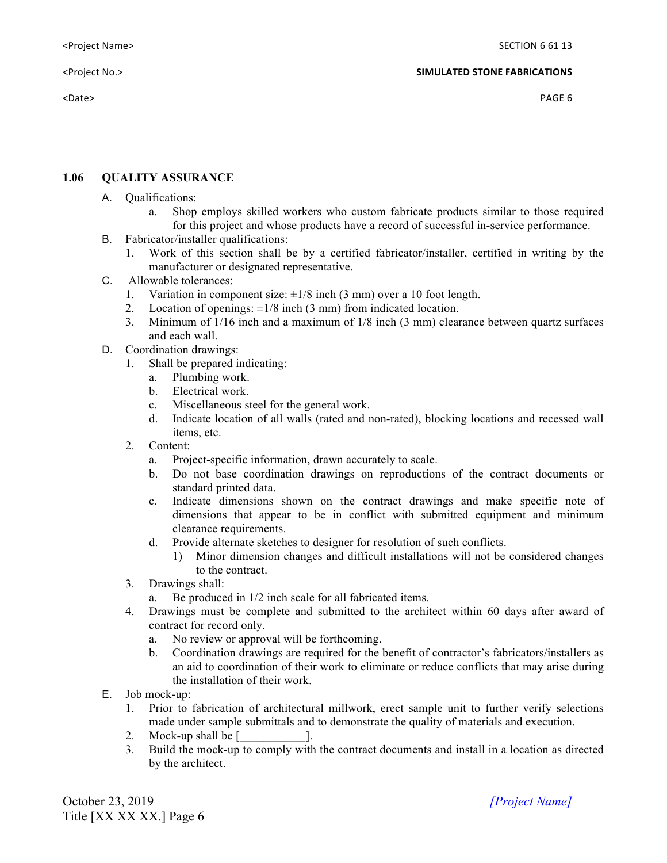#### $\blacktriangle$  PAGE 6  $\blacktriangleright$  PAGE 6

#### **SIMULATED STONE FABRICATIONS**

#### **1.06 QUALITY ASSURANCE**

- A. Qualifications:
	- a. Shop employs skilled workers who custom fabricate products similar to those required for this project and whose products have a record of successful in-service performance.
- B. Fabricator/installer qualifications:
	- 1. Work of this section shall be by a certified fabricator/installer, certified in writing by the manufacturer or designated representative.
- C. Allowable tolerances:
	- 1. Variation in component size:  $\pm 1/8$  inch (3 mm) over a 10 foot length.
	- 2. Location of openings:  $\pm 1/8$  inch (3 mm) from indicated location.
	- 3. Minimum of 1/16 inch and a maximum of 1/8 inch (3 mm) clearance between quartz surfaces and each wall.
- D. Coordination drawings:
	- 1. Shall be prepared indicating:
		- a. Plumbing work.
		- b. Electrical work.
		- c. Miscellaneous steel for the general work.
		- d. Indicate location of all walls (rated and non-rated), blocking locations and recessed wall items, etc.
	- 2. Content:
		- a. Project-specific information, drawn accurately to scale.
		- b. Do not base coordination drawings on reproductions of the contract documents or standard printed data.
		- c. Indicate dimensions shown on the contract drawings and make specific note of dimensions that appear to be in conflict with submitted equipment and minimum clearance requirements.
		- d. Provide alternate sketches to designer for resolution of such conflicts.
			- 1) Minor dimension changes and difficult installations will not be considered changes to the contract.
	- 3. Drawings shall:
		- Be produced in  $1/2$  inch scale for all fabricated items.
	- 4. Drawings must be complete and submitted to the architect within 60 days after award of contract for record only.
		- a. No review or approval will be forthcoming.
		- b. Coordination drawings are required for the benefit of contractor's fabricators/installers as an aid to coordination of their work to eliminate or reduce conflicts that may arise during the installation of their work.
- E. Job mock-up:
	- 1. Prior to fabrication of architectural millwork, erect sample unit to further verify selections made under sample submittals and to demonstrate the quality of materials and execution.
	- 2. Mock-up shall be [\_\_\_\_\_\_\_\_\_\_\_].
	- 3. Build the mock-up to comply with the contract documents and install in a location as directed by the architect.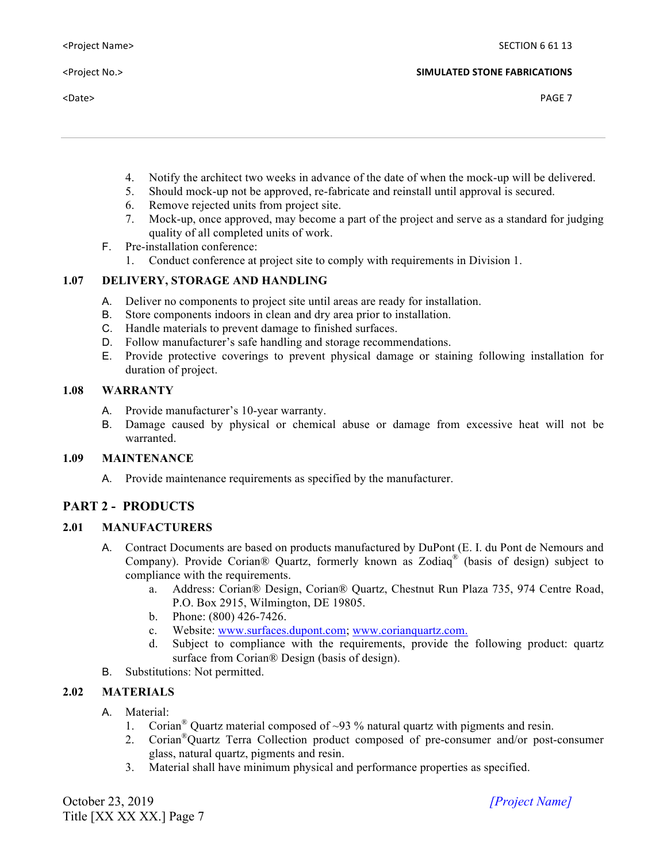- 4. Notify the architect two weeks in advance of the date of when the mock-up will be delivered.
- 5. Should mock-up not be approved, re-fabricate and reinstall until approval is secured.
- 6. Remove rejected units from project site.
- 7. Mock-up, once approved, may become a part of the project and serve as a standard for judging quality of all completed units of work.
- F. Pre-installation conference:
	- 1. Conduct conference at project site to comply with requirements in Division 1.

# **1.07 DELIVERY, STORAGE AND HANDLING**

- A. Deliver no components to project site until areas are ready for installation.
- B. Store components indoors in clean and dry area prior to installation.
- C. Handle materials to prevent damage to finished surfaces.
- D. Follow manufacturer's safe handling and storage recommendations.
- E. Provide protective coverings to prevent physical damage or staining following installation for duration of project.

## **1.08 WARRANTY**

- A. Provide manufacturer's 10-year warranty.
- B. Damage caused by physical or chemical abuse or damage from excessive heat will not be warranted.

#### **1.09 MAINTENANCE**

A. Provide maintenance requirements as specified by the manufacturer.

# **PART 2 - PRODUCTS**

# **2.01 MANUFACTURERS**

- A. Contract Documents are based on products manufactured by DuPont (E. I. du Pont de Nemours and Company). Provide Corian® Quartz, formerly known as Zodiaq® (basis of design) subject to compliance with the requirements.
	- a. Address: Corian® Design, Corian® Quartz, Chestnut Run Plaza 735, 974 Centre Road, P.O. Box 2915, Wilmington, DE 19805.
	- b. Phone: (800) 426-7426.
	- c. Website: www.surfaces.dupont.com; www.corianquartz.com.
	- d. Subject to compliance with the requirements, provide the following product: quartz surface from Corian® Design (basis of design).
- B. Substitutions: Not permitted.

# **2.02 MATERIALS**

- A. Material:
	- 1. Corian<sup>®</sup> Quartz material composed of  $\sim$ 93 % natural quartz with pigments and resin.
	- 2. Corian®Quartz Terra Collection product composed of pre-consumer and/or post-consumer glass, natural quartz, pigments and resin.
	- 3. Material shall have minimum physical and performance properties as specified.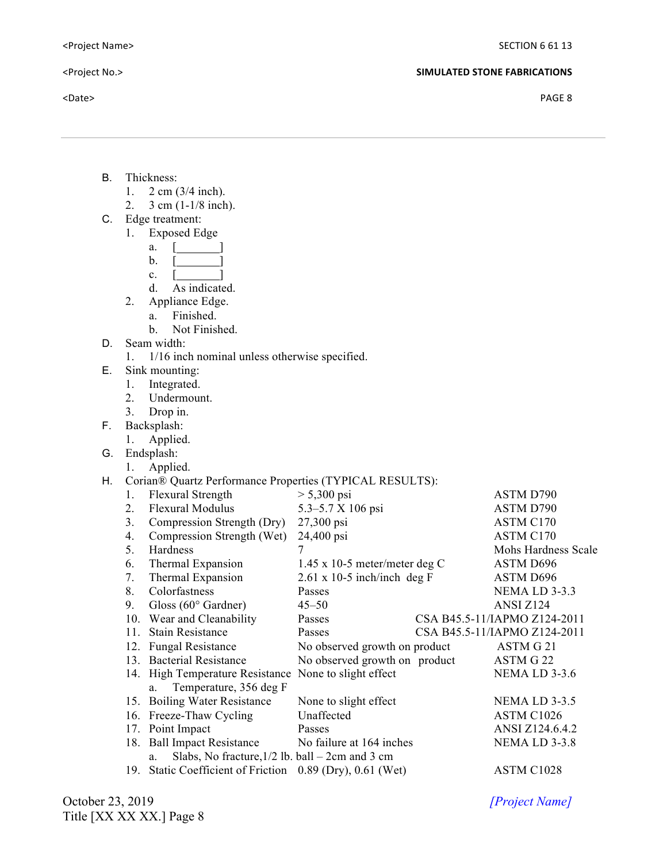**SIMULATED STONE FABRICATIONS** 

- B. Thickness:
	- 1. 2 cm (3/4 inch).
	- 2. 3 cm (1-1/8 inch).
- C. Edge treatment:
	- 1. Exposed Edge
		- a.  $\lceil$   $\rceil$
		- $\mathbf b$ .
		- c.  $\lceil$   $\rceil$
		- d. As indicated.
	- 2. Appliance Edge.
		- a. Finished.
		- b. Not Finished.
- D. Seam width:

1. 1/16 inch nominal unless otherwise specified.

- E. Sink mounting:
	- 1. Integrated.
	- 2. Undermount.
	- 3. Drop in.
- F. Backsplash:
	- 1. Applied.
- G. Endsplash:
	- 1. Applied.
- H. Corian® Quartz Performance Properties (TYPICAL RESULTS):

| 1.  | Flexural Strength                                       | $> 5,300 \,\mathrm{psi}$           | ASTM D790                    |
|-----|---------------------------------------------------------|------------------------------------|------------------------------|
| 2.  | <b>Flexural Modulus</b>                                 | 5.3-5.7 X 106 psi                  | ASTM D790                    |
| 3.  | Compression Strength (Dry)                              | 27,300 psi                         | ASTM C170                    |
| 4.  | Compression Strength (Wet)                              | 24,400 psi                         | ASTM C170                    |
| 5.  | Hardness                                                | 7                                  | <b>Mohs Hardness Scale</b>   |
| 6.  | Thermal Expansion                                       | $1.45$ x 10-5 meter/meter deg C    | ASTM D696                    |
| 7.  | Thermal Expansion                                       | $2.61 \times 10-5$ inch/inch deg F | ASTM D696                    |
| 8.  | Colorfastness                                           | Passes                             | NEMALD 3-3.3                 |
| 9.  | Gloss $(60^{\circ}$ Gardner)                            | $45 - 50$                          | ANSI Z124                    |
| 10. | Wear and Cleanability                                   | Passes                             | CSA B45.5-11/IAPMO Z124-2011 |
| 11. | <b>Stain Resistance</b>                                 | Passes                             | CSA B45.5-11/IAPMO Z124-2011 |
| 12. | <b>Fungal Resistance</b>                                | No observed growth on product      | ASTM G 21                    |
|     | 13. Bacterial Resistance                                | No observed growth on product      | ASTM G 22                    |
|     | 14. High Temperature Resistance None to slight effect   |                                    | <b>NEMA LD 3-3.6</b>         |
|     | Temperature, 356 deg F<br>a.                            |                                    |                              |
| 15. | <b>Boiling Water Resistance</b>                         | None to slight effect              | NEMA LD 3-3.5                |
|     | 16. Freeze-Thaw Cycling                                 | Unaffected                         | ASTM C1026                   |
| 17. | Point Impact                                            | Passes                             | ANSI Z124.6.4.2              |
|     | 18. Ball Impact Resistance                              | No failure at 164 inches           | NEMA LD 3-3.8                |
|     | Slabs, No fracture, $1/2$ lb. ball – 2cm and 3 cm<br>a. |                                    |                              |
| 19. | Static Coefficient of Friction 0.89 (Dry), 0.61 (Wet)   |                                    | ASTM C1028                   |
|     |                                                         |                                    |                              |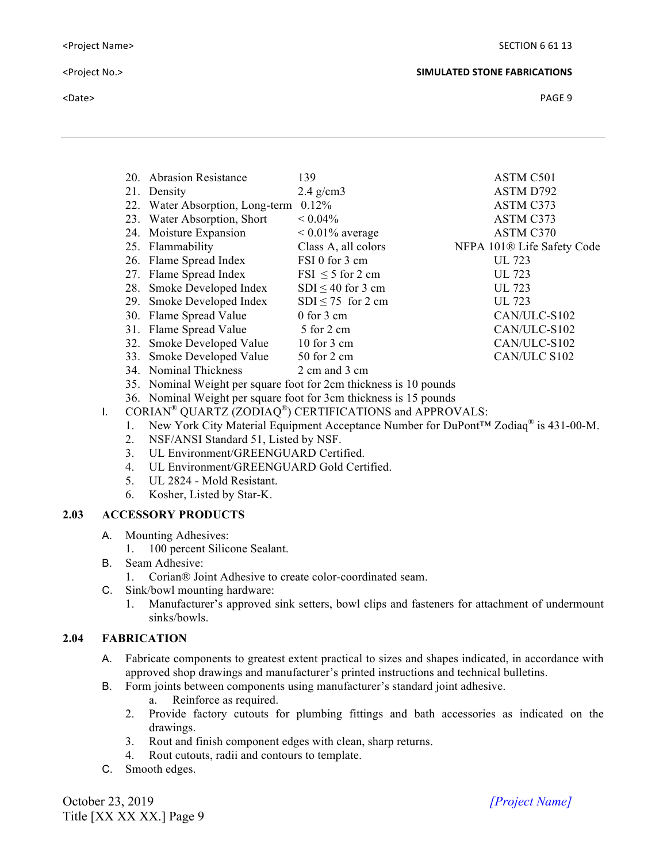#### **SIMULATED STONE FABRICATIONS**

| 20. Abrasion Resistance                                           | 139                    | ASTM C501                  |  |  |
|-------------------------------------------------------------------|------------------------|----------------------------|--|--|
| 21. Density                                                       | $2.4$ g/cm3            | ASTM D792                  |  |  |
| 22. Water Absorption, Long-term                                   | $0.12\%$               | ASTM C373                  |  |  |
| 23. Water Absorption, Short                                       | $< 0.04\%$             | ASTM C373                  |  |  |
| 24. Moisture Expansion                                            | $< 0.01\%$ average     | ASTM C370                  |  |  |
| 25. Flammability                                                  | Class A, all colors    | NFPA 101® Life Safety Code |  |  |
| 26. Flame Spread Index                                            | FSI 0 for 3 cm         | UL 723                     |  |  |
| 27. Flame Spread Index                                            | $FSI \leq 5$ for 2 cm  | UL 723                     |  |  |
| 28. Smoke Developed Index                                         | $SDI \leq 40$ for 3 cm | UL 723                     |  |  |
| 29. Smoke Developed Index                                         | $SDI \le 75$ for 2 cm  | UL 723                     |  |  |
| 30. Flame Spread Value                                            | $0$ for $3$ cm         | CAN/ULC-S102               |  |  |
| 31. Flame Spread Value                                            | 5 for 2 cm             | CAN/ULC-S102               |  |  |
| 32. Smoke Developed Value                                         | 10 for $3 \text{ cm}$  | CAN/ULC-S102               |  |  |
| 33. Smoke Developed Value                                         | $50$ for 2 cm          | CAN/ULC S102               |  |  |
| 34. Nominal Thickness                                             | 2 cm and 3 cm          |                            |  |  |
| 35. Nominal Weight per square foot for 2cm thickness is 10 pounds |                        |                            |  |  |

36. Nominal Weight per square foot for 3cm thickness is 15 pounds

- I. CORIAN<sup>®</sup> QUARTZ (ZODIAQ<sup>®</sup>) CERTIFICATIONS and APPROVALS:
	- 1. New York City Material Equipment Acceptance Number for DuPont™ Zodiaq® is 431-00-M.
	- 2. NSF/ANSI Standard 51, Listed by NSF.
	- 3. UL Environment/GREENGUARD Certified.
	- 4. UL Environment/GREENGUARD Gold Certified.
	- 5. UL 2824 Mold Resistant.
	- 6. Kosher, Listed by Star-K.

### **2.03 ACCESSORY PRODUCTS**

- A. Mounting Adhesives:
	- 1. 100 percent Silicone Sealant.
- B. Seam Adhesive:
	- 1. Corian® Joint Adhesive to create color-coordinated seam.
- C. Sink/bowl mounting hardware:
	- 1. Manufacturer's approved sink setters, bowl clips and fasteners for attachment of undermount sinks/bowls.

# **2.04 FABRICATION**

- A. Fabricate components to greatest extent practical to sizes and shapes indicated, in accordance with approved shop drawings and manufacturer's printed instructions and technical bulletins.
- B. Form joints between components using manufacturer's standard joint adhesive.
	- a. Reinforce as required.
	- 2. Provide factory cutouts for plumbing fittings and bath accessories as indicated on the drawings.
	- 3. Rout and finish component edges with clean, sharp returns.
	- 4. Rout cutouts, radii and contours to template.
- C. Smooth edges.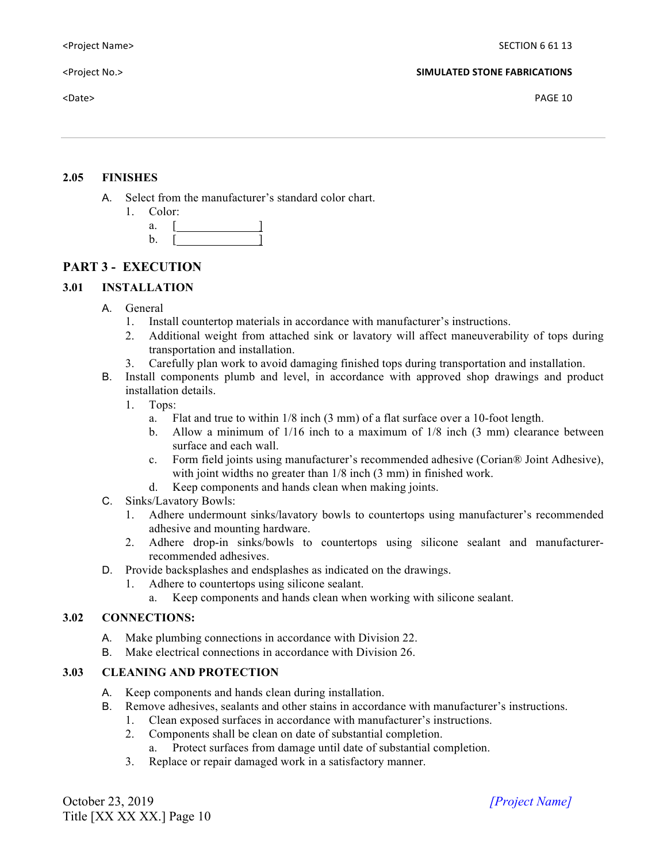$\epsilon$ Date> PAGE 10

## **2.05 FINISHES**

- A. Select from the manufacturer's standard color chart.
	- 1. Color:
		- a. [ ] b.  $[$   $]$

# **PART 3 - EXECUTION**

# **3.01 INSTALLATION**

- A. General
	- 1. Install countertop materials in accordance with manufacturer's instructions.
	- 2. Additional weight from attached sink or lavatory will affect maneuverability of tops during transportation and installation.
	- 3. Carefully plan work to avoid damaging finished tops during transportation and installation.
- B. Install components plumb and level, in accordance with approved shop drawings and product installation details.
	- 1. Tops:
		- a. Flat and true to within 1/8 inch (3 mm) of a flat surface over a 10-foot length.
		- b. Allow a minimum of  $1/16$  inch to a maximum of  $1/8$  inch  $(3 \text{ mm})$  clearance between surface and each wall.
		- c. Form field joints using manufacturer's recommended adhesive (Corian® Joint Adhesive), with joint widths no greater than  $1/8$  inch (3 mm) in finished work.
		- d. Keep components and hands clean when making joints.
- C. Sinks/Lavatory Bowls:
	- 1. Adhere undermount sinks/lavatory bowls to countertops using manufacturer's recommended adhesive and mounting hardware.
	- 2. Adhere drop-in sinks/bowls to countertops using silicone sealant and manufacturerrecommended adhesives.
- D. Provide backsplashes and endsplashes as indicated on the drawings.
	- 1. Adhere to countertops using silicone sealant.
		- a. Keep components and hands clean when working with silicone sealant.

# **3.02 CONNECTIONS:**

- A. Make plumbing connections in accordance with Division 22.
- B. Make electrical connections in accordance with Division 26.

## **3.03 CLEANING AND PROTECTION**

- A. Keep components and hands clean during installation.
- B. Remove adhesives, sealants and other stains in accordance with manufacturer's instructions.
	- 1. Clean exposed surfaces in accordance with manufacturer's instructions.
	- 2. Components shall be clean on date of substantial completion.
		- a. Protect surfaces from damage until date of substantial completion.
	- 3. Replace or repair damaged work in a satisfactory manner.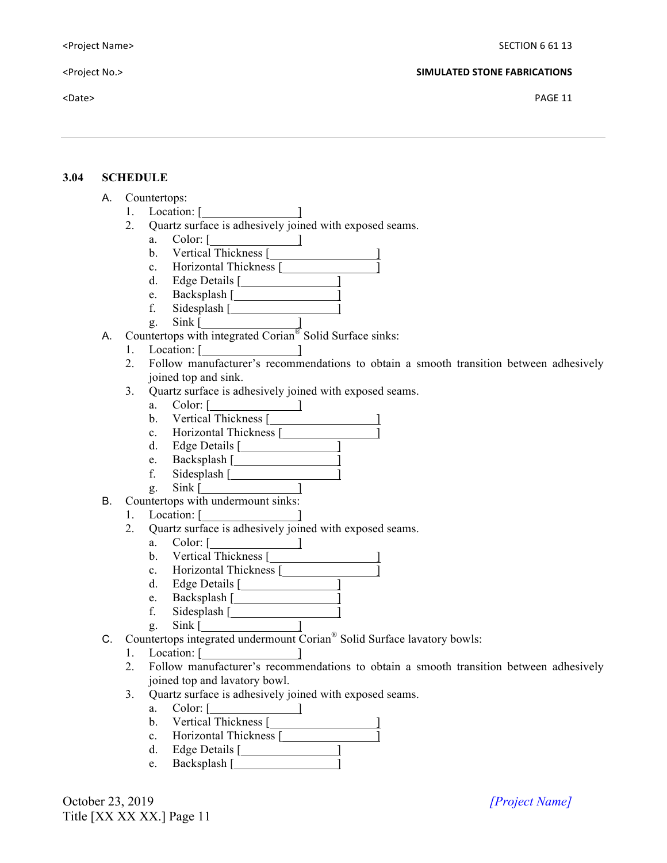#### **SIMULATED STONE FABRICATIONS**

 $\epsilon$ Date> PAGE 11

#### **3.04 SCHEDULE**

- A. Countertops:
	- 1. Location: [
	- 2. Quartz surface is adhesively joined with exposed seams.
		- a. Color: [ <u>]</u>
		- b. Vertical Thickness [
		- c. Horizontal Thickness [
		- d. Edge Details [ ]
		- e. Backsplash [ ]
		- f. Sidesplash [ ]
		- g. Sink [ ]
- A. Countertops with integrated Corian<sup>®</sup> Solid Surface sinks:
	- 1. Location: [
	- 2. Follow manufacturer's recommendations to obtain a smooth transition between adhesively joined top and sink.
	- 3. Quartz surface is adhesively joined with exposed seams.
		- a. Color: [ ]
		- b. Vertical Thickness [1988]
		- c. Horizontal Thickness [
		- d. Edge Details [ ]
		- e. Backsplash [*Macksplash* [*Macksplash* [*Macksplash* [*Macksplash* [*Macksplash* [*Macksplash* ]
		- f. Sidesplash [ ]
		- g. Sink  $\lceil$
- B. Countertops with undermount sinks:
	- 1. Location: [ ]
	- 2. Quartz surface is adhesively joined with exposed seams.
		- a. Color: [ ]
		- b. Vertical Thickness [
		- c. Horizontal Thickness [
		- d. Edge Details [ ]
		- e. Backsplash [*1820*]
		- f. Sidesplash [ ]
		- g. Sink [ ]
- C. Countertops integrated undermount Corian® Solid Surface lavatory bowls:
	- 1. Location: [ ]
	- 2. Follow manufacturer's recommendations to obtain a smooth transition between adhesively joined top and lavatory bowl.
	- 3. Quartz surface is adhesively joined with exposed seams.
		- a. Color: [ ]
		- b. Vertical Thickness [ ]
		- c. Horizontal Thickness [*1888]*
		- d. Edge Details [ ]
		- e. Backsplash [ ]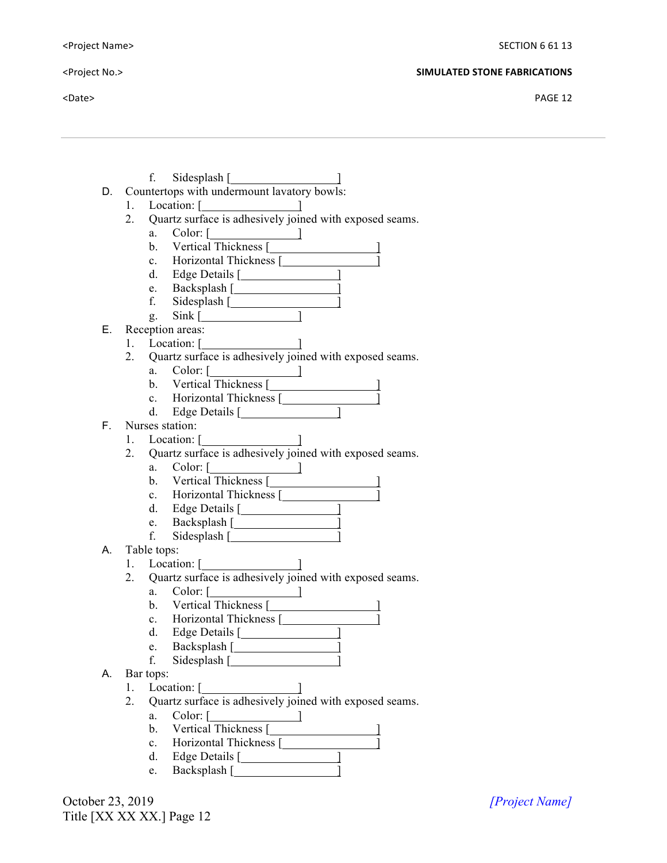$\blacktriangle$  Date> PAGE 12

- f. Sidesplash [ ]
- D. Countertops with undermount lavatory bowls:
	- 1. Location: [ ]
	- 2. Quartz surface is adhesively joined with exposed seams.
		- a. Color: [ ]
		- b. Vertical Thickness [1988]
		- c. Horizontal Thickness [
		- d. Edge Details [ ] e. Backsplash [ ]
		- f. Sidesplash [ ]
		- g. Sink [ ]
- E. Reception areas:
	- 1. Location:  $\begin{bmatrix} \end{bmatrix}$ 
		- 2. Quartz surface is adhesively joined with exposed seams.
			- a. Color: [ ]
			- b. Vertical Thickness [1988]
			- c. Horizontal Thickness [
			- d. Edge Details [
- F. Nurses station:
	- 1. Location: [**will**
	- 2. Quartz surface is adhesively joined with exposed seams.
		- a. Color: [2000]
		- b. Vertical Thickness [
		- c. Horizontal Thickness [
		- d. Edge Details [*\_\_\_\_\_\_\_\_\_\_\_\_\_\_*]
		- e. Backsplash [ ]
		- f. Sidesplash [ ]
- A. Table tops:
	- 1. Location: [ ]
	- 2. Quartz surface is adhesively joined with exposed seams.
		- a. Color: [ ]
		- b. Vertical Thickness [
		- c. Horizontal Thickness [ ]
		- d. Edge Details [ ]
		- e. Backsplash [ ]
		- f. Sidesplash  $\lceil$
- A. Bar tops:
	- 1. Location: [ ]
	- 2. Quartz surface is adhesively joined with exposed seams.
		- a. Color: [ ]
		- b. Vertical Thickness [ ]
		- c. Horizontal Thickness [
		- d. Edge Details [*\_\_\_\_\_\_\_\_\_\_\_\_\_\_* ]
		- e. Backsplash [ ]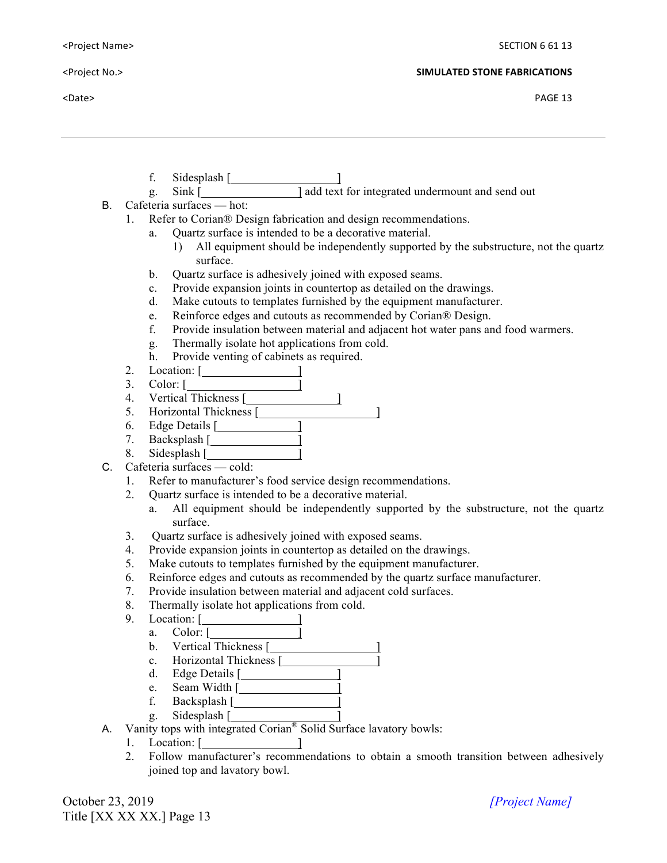$\blacktriangle$  Particles and the contract of the contract of the contract of the contract of the contract of the contract of the contract of the contract of the contract of the contract of the contract of the contract of the contra

- f. Sidesplash  $\lceil$
- g. Sink [  $\qquad$  ] add text for integrated undermount and send out
- B. Cafeteria surfaces hot:
	- 1. Refer to Corian® Design fabrication and design recommendations.
		- a. Quartz surface is intended to be a decorative material.
			- 1) All equipment should be independently supported by the substructure, not the quartz surface.
		- b. Quartz surface is adhesively joined with exposed seams.
		- c. Provide expansion joints in countertop as detailed on the drawings.
		- d. Make cutouts to templates furnished by the equipment manufacturer.
		- e. Reinforce edges and cutouts as recommended by Corian® Design.
		- f. Provide insulation between material and adjacent hot water pans and food warmers.
		- g. Thermally isolate hot applications from cold.
		- h. Provide venting of cabinets as required.
	- 2. Location: [*Martion* **Leading 1**
	- 3. Color: [ **]**
	- 4. Vertical Thickness [*Wereleff* **]**
	- 5. Horizontal Thickness [
	- 6. Edge Details [**1989**
	- 7. Backsplash [ ]
	- 8. Sidesplash [ ]
- C. Cafeteria surfaces cold:
	- 1. Refer to manufacturer's food service design recommendations.
	- 2. Quartz surface is intended to be a decorative material.
		- a. All equipment should be independently supported by the substructure, not the quartz surface.
	- 3. Quartz surface is adhesively joined with exposed seams.
	- 4. Provide expansion joints in countertop as detailed on the drawings.
	- 5. Make cutouts to templates furnished by the equipment manufacturer.
	- 6. Reinforce edges and cutouts as recommended by the quartz surface manufacturer.
	- 7. Provide insulation between material and adjacent cold surfaces.
	- 8. Thermally isolate hot applications from cold.
	- 9. Location: [*\_\_\_\_\_\_\_\_\_\_\_\_*]
		- a. Color: [ ]
		- b. Vertical Thickness [
		- c. Horizontal Thickness [ ]
		- d. Edge Details [
		- e. Seam Width  $[$
		- f. Backsplash [1888]
		- g. Sidesplash [ ]
- A. Vanity tops with integrated Corian® Solid Surface lavatory bowls:
	- 1. Location: [<u>2001]</u>
	- 2. Follow manufacturer's recommendations to obtain a smooth transition between adhesively joined top and lavatory bowl.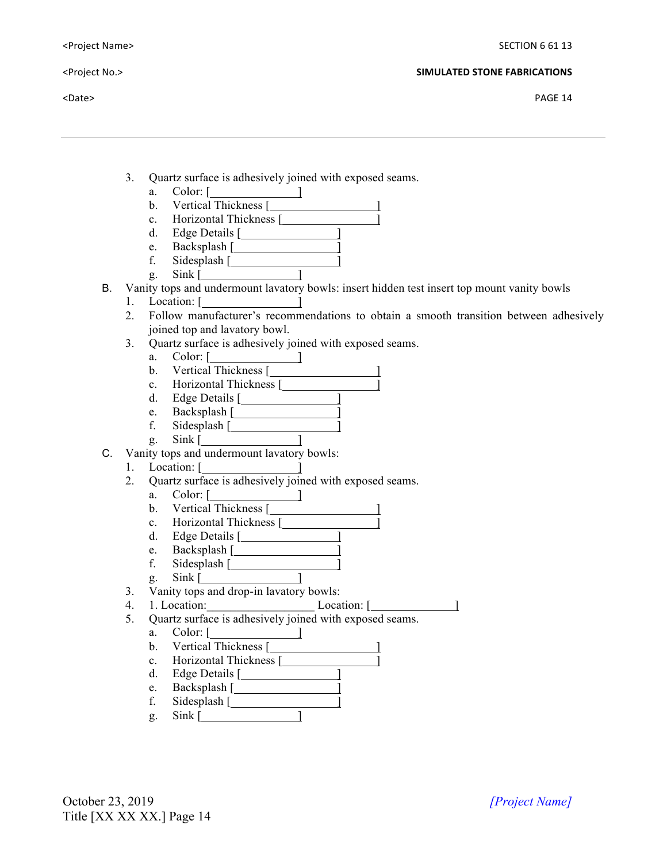$\epsilon$ Date> PAGE 14

- 3. Quartz surface is adhesively joined with exposed seams.
	- a. Color: [ ]
	- b. Vertical Thickness [
	- c. Horizontal Thickness [
	- d. Edge Details [ ]
	- e. Backsplash [*1820* ]
	- f. Sidesplash  $\lceil$ g. Sink [ ]
- B. Vanity tops and undermount lavatory bowls: insert hidden test insert top mount vanity bowls
	- 1. Location: [
	- 2. Follow manufacturer's recommendations to obtain a smooth transition between adhesively joined top and lavatory bowl.
	- 3. Quartz surface is adhesively joined with exposed seams.
		- a. Color:  $\begin{bmatrix} \end{bmatrix}$
		- b. Vertical Thickness [ <u>[</u>
		- c. Horizontal Thickness [
		- d. Edge Details [*\_\_\_\_\_\_\_\_\_\_\_\_\_\_\_*
		- e. Backsplash [ ]
		- f. Sidesplash  $\lceil$
		- g. Sink [ <u>\_\_\_\_\_\_\_\_\_</u> ]
- C. Vanity tops and undermount lavatory bowls:
	- 1. Location: [ ]
	- 2. Quartz surface is adhesively joined with exposed seams.
		- a. Color: [ ]
		- b. Vertical Thickness [
		- c. Horizontal Thickness [
		- d. Edge Details [ ]
		- e. Backsplash [ <u>]</u>
		- f. Sidesplash [ ]
		- g. Sink [<u>2007]</u>
	- 3. Vanity tops and drop-in lavatory bowls:
	- 4. 1. Location: Location: [ ]
	- 5. Quartz surface is adhesively joined with exposed seams.
		- a. Color: [ ]
		- b. Vertical Thickness [
		- c. Horizontal Thickness [
		- d. Edge Details [*Martian* Edge Details [*Martian* Edge Details *Martian* Edge Details *Martian* Edge Details *Martian* Edge Details *Martian* Edge Details *Martian* Edge Details *Martian* Edge Details *Martia*
		- e. Backsplash  $[$ f. Sidesplash [ ]
		- g. Sink [ ]